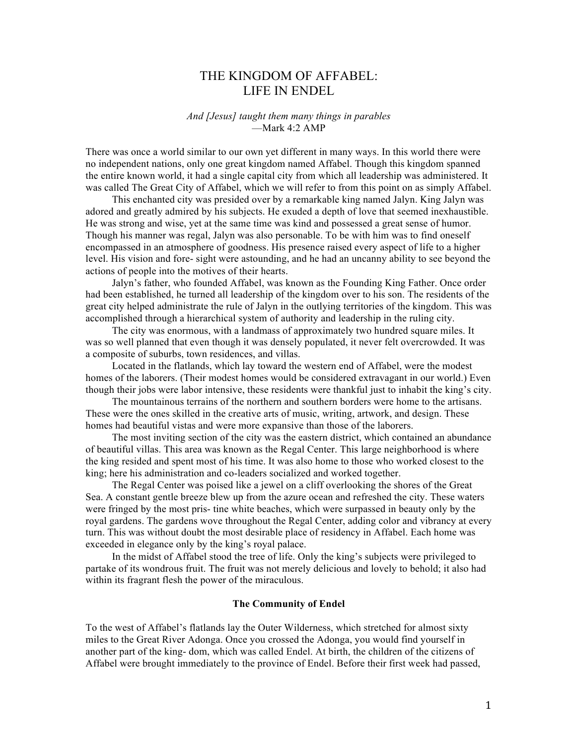# THE KINGDOM OF AFFABEL: LIFE IN ENDEL

#### *And [Jesus] taught them many things in parables* —Mark 4:2 AMP

There was once a world similar to our own yet different in many ways. In this world there were no independent nations, only one great kingdom named Affabel. Though this kingdom spanned the entire known world, it had a single capital city from which all leadership was administered. It was called The Great City of Affabel, which we will refer to from this point on as simply Affabel.

This enchanted city was presided over by a remarkable king named Jalyn. King Jalyn was adored and greatly admired by his subjects. He exuded a depth of love that seemed inexhaustible. He was strong and wise, yet at the same time was kind and possessed a great sense of humor. Though his manner was regal, Jalyn was also personable. To be with him was to find oneself encompassed in an atmosphere of goodness. His presence raised every aspect of life to a higher level. His vision and fore- sight were astounding, and he had an uncanny ability to see beyond the actions of people into the motives of their hearts.

Jalyn's father, who founded Affabel, was known as the Founding King Father. Once order had been established, he turned all leadership of the kingdom over to his son. The residents of the great city helped administrate the rule of Jalyn in the outlying territories of the kingdom. This was accomplished through a hierarchical system of authority and leadership in the ruling city.

The city was enormous, with a landmass of approximately two hundred square miles. It was so well planned that even though it was densely populated, it never felt overcrowded. It was a composite of suburbs, town residences, and villas.

Located in the flatlands, which lay toward the western end of Affabel, were the modest homes of the laborers. (Their modest homes would be considered extravagant in our world.) Even though their jobs were labor intensive, these residents were thankful just to inhabit the king's city.

The mountainous terrains of the northern and southern borders were home to the artisans. These were the ones skilled in the creative arts of music, writing, artwork, and design. These homes had beautiful vistas and were more expansive than those of the laborers.

The most inviting section of the city was the eastern district, which contained an abundance of beautiful villas. This area was known as the Regal Center. This large neighborhood is where the king resided and spent most of his time. It was also home to those who worked closest to the king; here his administration and co-leaders socialized and worked together.

The Regal Center was poised like a jewel on a cliff overlooking the shores of the Great Sea. A constant gentle breeze blew up from the azure ocean and refreshed the city. These waters were fringed by the most pris- tine white beaches, which were surpassed in beauty only by the royal gardens. The gardens wove throughout the Regal Center, adding color and vibrancy at every turn. This was without doubt the most desirable place of residency in Affabel. Each home was exceeded in elegance only by the king's royal palace.

In the midst of Affabel stood the tree of life. Only the king's subjects were privileged to partake of its wondrous fruit. The fruit was not merely delicious and lovely to behold; it also had within its fragrant flesh the power of the miraculous.

#### **The Community of Endel**

To the west of Affabel's flatlands lay the Outer Wilderness, which stretched for almost sixty miles to the Great River Adonga. Once you crossed the Adonga, you would find yourself in another part of the king- dom, which was called Endel. At birth, the children of the citizens of Affabel were brought immediately to the province of Endel. Before their first week had passed,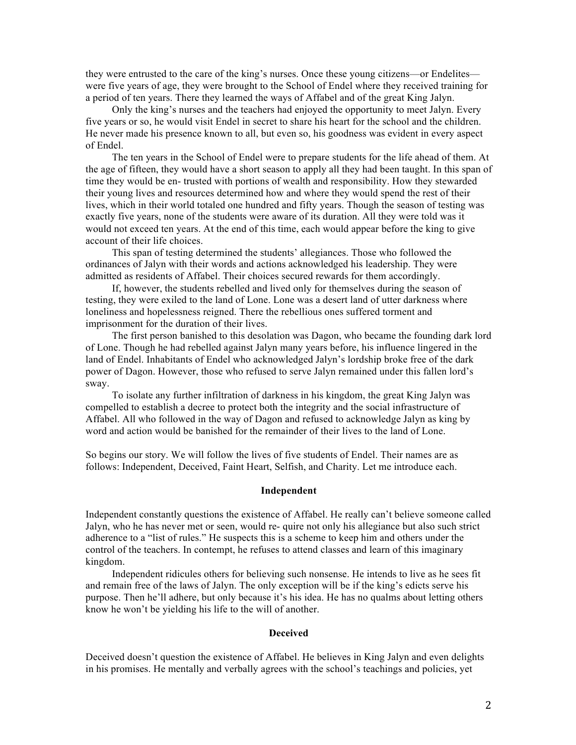they were entrusted to the care of the king's nurses. Once these young citizens—or Endelites were five years of age, they were brought to the School of Endel where they received training for a period of ten years. There they learned the ways of Affabel and of the great King Jalyn.

Only the king's nurses and the teachers had enjoyed the opportunity to meet Jalyn. Every five years or so, he would visit Endel in secret to share his heart for the school and the children. He never made his presence known to all, but even so, his goodness was evident in every aspect of Endel.

The ten years in the School of Endel were to prepare students for the life ahead of them. At the age of fifteen, they would have a short season to apply all they had been taught. In this span of time they would be en- trusted with portions of wealth and responsibility. How they stewarded their young lives and resources determined how and where they would spend the rest of their lives, which in their world totaled one hundred and fifty years. Though the season of testing was exactly five years, none of the students were aware of its duration. All they were told was it would not exceed ten years. At the end of this time, each would appear before the king to give account of their life choices.

This span of testing determined the students' allegiances. Those who followed the ordinances of Jalyn with their words and actions acknowledged his leadership. They were admitted as residents of Affabel. Their choices secured rewards for them accordingly.

If, however, the students rebelled and lived only for themselves during the season of testing, they were exiled to the land of Lone. Lone was a desert land of utter darkness where loneliness and hopelessness reigned. There the rebellious ones suffered torment and imprisonment for the duration of their lives.

The first person banished to this desolation was Dagon, who became the founding dark lord of Lone. Though he had rebelled against Jalyn many years before, his influence lingered in the land of Endel. Inhabitants of Endel who acknowledged Jalyn's lordship broke free of the dark power of Dagon. However, those who refused to serve Jalyn remained under this fallen lord's sway.

To isolate any further infiltration of darkness in his kingdom, the great King Jalyn was compelled to establish a decree to protect both the integrity and the social infrastructure of Affabel. All who followed in the way of Dagon and refused to acknowledge Jalyn as king by word and action would be banished for the remainder of their lives to the land of Lone.

So begins our story. We will follow the lives of five students of Endel. Their names are as follows: Independent, Deceived, Faint Heart, Selfish, and Charity. Let me introduce each.

#### **Independent**

Independent constantly questions the existence of Affabel. He really can't believe someone called Jalyn, who he has never met or seen, would re- quire not only his allegiance but also such strict adherence to a "list of rules." He suspects this is a scheme to keep him and others under the control of the teachers. In contempt, he refuses to attend classes and learn of this imaginary kingdom.

Independent ridicules others for believing such nonsense. He intends to live as he sees fit and remain free of the laws of Jalyn. The only exception will be if the king's edicts serve his purpose. Then he'll adhere, but only because it's his idea. He has no qualms about letting others know he won't be yielding his life to the will of another.

#### **Deceived**

Deceived doesn't question the existence of Affabel. He believes in King Jalyn and even delights in his promises. He mentally and verbally agrees with the school's teachings and policies, yet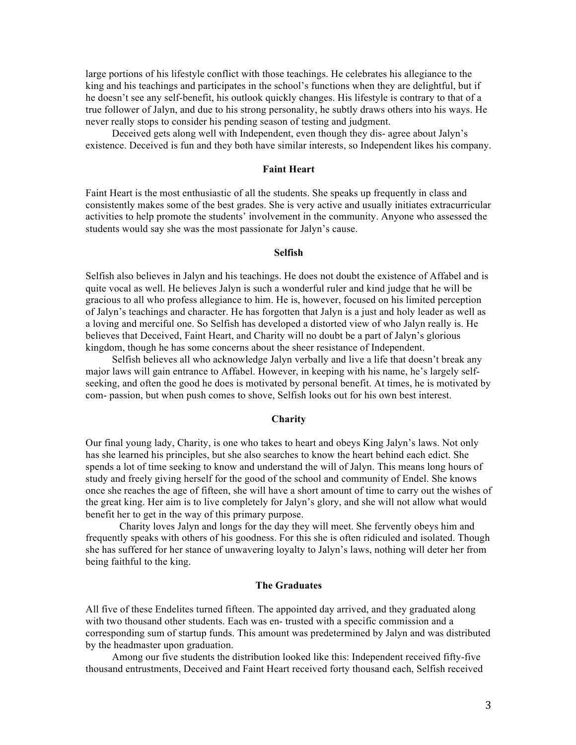large portions of his lifestyle conflict with those teachings. He celebrates his allegiance to the king and his teachings and participates in the school's functions when they are delightful, but if he doesn't see any self-benefit, his outlook quickly changes. His lifestyle is contrary to that of a true follower of Jalyn, and due to his strong personality, he subtly draws others into his ways. He never really stops to consider his pending season of testing and judgment.

Deceived gets along well with Independent, even though they dis- agree about Jalyn's existence. Deceived is fun and they both have similar interests, so Independent likes his company.

#### **Faint Heart**

Faint Heart is the most enthusiastic of all the students. She speaks up frequently in class and consistently makes some of the best grades. She is very active and usually initiates extracurricular activities to help promote the students' involvement in the community. Anyone who assessed the students would say she was the most passionate for Jalyn's cause.

#### **Selfish**

Selfish also believes in Jalyn and his teachings. He does not doubt the existence of Affabel and is quite vocal as well. He believes Jalyn is such a wonderful ruler and kind judge that he will be gracious to all who profess allegiance to him. He is, however, focused on his limited perception of Jalyn's teachings and character. He has forgotten that Jalyn is a just and holy leader as well as a loving and merciful one. So Selfish has developed a distorted view of who Jalyn really is. He believes that Deceived, Faint Heart, and Charity will no doubt be a part of Jalyn's glorious kingdom, though he has some concerns about the sheer resistance of Independent.

Selfish believes all who acknowledge Jalyn verbally and live a life that doesn't break any major laws will gain entrance to Affabel. However, in keeping with his name, he's largely selfseeking, and often the good he does is motivated by personal benefit. At times, he is motivated by com- passion, but when push comes to shove, Selfish looks out for his own best interest.

#### **Charity**

Our final young lady, Charity, is one who takes to heart and obeys King Jalyn's laws. Not only has she learned his principles, but she also searches to know the heart behind each edict. She spends a lot of time seeking to know and understand the will of Jalyn. This means long hours of study and freely giving herself for the good of the school and community of Endel. She knows once she reaches the age of fifteen, she will have a short amount of time to carry out the wishes of the great king. Her aim is to live completely for Jalyn's glory, and she will not allow what would benefit her to get in the way of this primary purpose.

Charity loves Jalyn and longs for the day they will meet. She fervently obeys him and frequently speaks with others of his goodness. For this she is often ridiculed and isolated. Though she has suffered for her stance of unwavering loyalty to Jalyn's laws, nothing will deter her from being faithful to the king.

#### **The Graduates**

All five of these Endelites turned fifteen. The appointed day arrived, and they graduated along with two thousand other students. Each was en- trusted with a specific commission and a corresponding sum of startup funds. This amount was predetermined by Jalyn and was distributed by the headmaster upon graduation.

Among our five students the distribution looked like this: Independent received fifty-five thousand entrustments, Deceived and Faint Heart received forty thousand each, Selfish received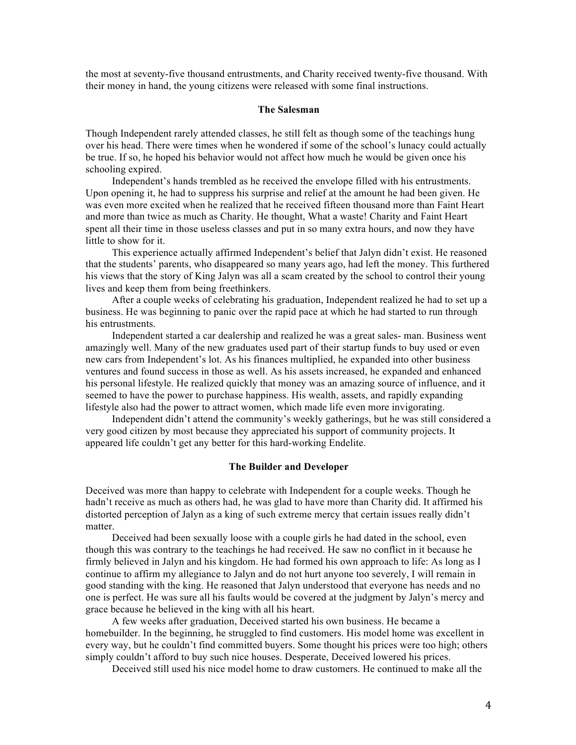the most at seventy-five thousand entrustments, and Charity received twenty-five thousand. With their money in hand, the young citizens were released with some final instructions.

#### **The Salesman**

Though Independent rarely attended classes, he still felt as though some of the teachings hung over his head. There were times when he wondered if some of the school's lunacy could actually be true. If so, he hoped his behavior would not affect how much he would be given once his schooling expired.

Independent's hands trembled as he received the envelope filled with his entrustments. Upon opening it, he had to suppress his surprise and relief at the amount he had been given. He was even more excited when he realized that he received fifteen thousand more than Faint Heart and more than twice as much as Charity. He thought, What a waste! Charity and Faint Heart spent all their time in those useless classes and put in so many extra hours, and now they have little to show for it.

This experience actually affirmed Independent's belief that Jalyn didn't exist. He reasoned that the students' parents, who disappeared so many years ago, had left the money. This furthered his views that the story of King Jalyn was all a scam created by the school to control their young lives and keep them from being freethinkers.

After a couple weeks of celebrating his graduation, Independent realized he had to set up a business. He was beginning to panic over the rapid pace at which he had started to run through his entrustments.

Independent started a car dealership and realized he was a great sales- man. Business went amazingly well. Many of the new graduates used part of their startup funds to buy used or even new cars from Independent's lot. As his finances multiplied, he expanded into other business ventures and found success in those as well. As his assets increased, he expanded and enhanced his personal lifestyle. He realized quickly that money was an amazing source of influence, and it seemed to have the power to purchase happiness. His wealth, assets, and rapidly expanding lifestyle also had the power to attract women, which made life even more invigorating.

Independent didn't attend the community's weekly gatherings, but he was still considered a very good citizen by most because they appreciated his support of community projects. It appeared life couldn't get any better for this hard-working Endelite.

#### **The Builder and Developer**

Deceived was more than happy to celebrate with Independent for a couple weeks. Though he hadn't receive as much as others had, he was glad to have more than Charity did. It affirmed his distorted perception of Jalyn as a king of such extreme mercy that certain issues really didn't matter.

Deceived had been sexually loose with a couple girls he had dated in the school, even though this was contrary to the teachings he had received. He saw no conflict in it because he firmly believed in Jalyn and his kingdom. He had formed his own approach to life: As long as I continue to affirm my allegiance to Jalyn and do not hurt anyone too severely, I will remain in good standing with the king. He reasoned that Jalyn understood that everyone has needs and no one is perfect. He was sure all his faults would be covered at the judgment by Jalyn's mercy and grace because he believed in the king with all his heart.

A few weeks after graduation, Deceived started his own business. He became a homebuilder. In the beginning, he struggled to find customers. His model home was excellent in every way, but he couldn't find committed buyers. Some thought his prices were too high; others simply couldn't afford to buy such nice houses. Desperate, Deceived lowered his prices.

Deceived still used his nice model home to draw customers. He continued to make all the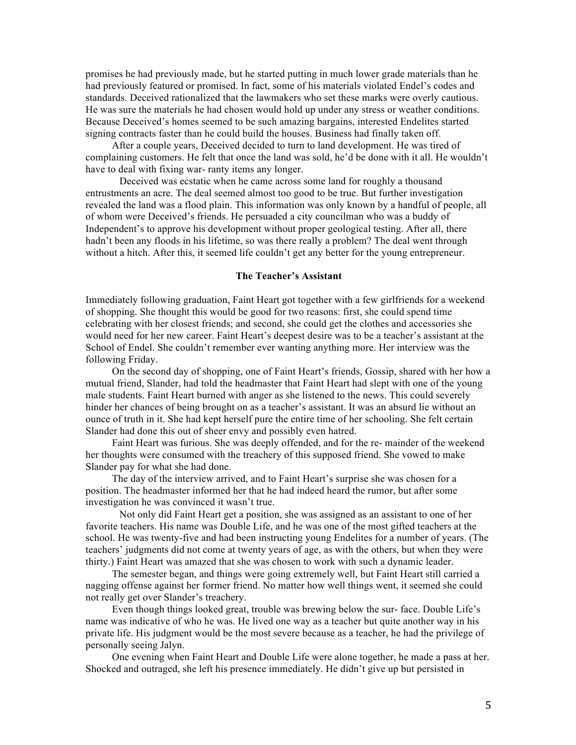promises he had previously made, but he started putting in much lower grade materials than he had previously featured or promised. In fact, some of his materials violated Endel's codes and standards. Deceived rationalized that the lawmakers who set these marks were overly cautious. He was sure the materials he had chosen would hold up under any stress or weather conditions. Because Deceived's homes seemed to be such amazing bargains, interested Endelites started signing contracts faster than he could build the houses. Business had finally taken off.

After a couple years, Deceived decided to turn to land development. He was tired of complaining customers. He felt that once the land was sold, he'd be done with it all. He wouldn't have to deal with fixing war- ranty items any longer.

Deceived was ecstatic when he came across some land for roughly a thousand entrustments an acre. The deal seemed almost too good to be true. But further investigation revealed the land was a flood plain. This information was only known by a handful of people, all of whom were Deceived's friends. He persuaded a city councilman who was a buddy of Independent's to approve his development without proper geological testing. After all, there hadn't been any floods in his lifetime, so was there really a problem? The deal went through without a hitch. After this, it seemed life couldn't get any better for the young entrepreneur.

#### **The Teacher's Assistant**

Immediately following graduation, Faint Heart got together with a few girlfriends for a weekend of shopping. She thought this would be good for two reasons: first, she could spend time celebrating with her closest friends; and second, she could get the clothes and accessories she would need for her new career. Faint Heart's deepest desire was to be a teacher's assistant at the School of Endel. She couldn't remember ever wanting anything more. Her interview was the following Friday.

On the second day of shopping, one of Faint Heart's friends, Gossip, shared with her how a mutual friend, Slander, had told the headmaster that Faint Heart had slept with one of the young male students. Faint Heart burned with anger as she listened to the news. This could severely hinder her chances of being brought on as a teacher's assistant. It was an absurd lie without an ounce of truth in it. She had kept herself pure the entire time of her schooling. She felt certain Slander had done this out of sheer envy and possibly even hatred.

Faint Heart was furious. She was deeply offended, and for the re- mainder of the weekend her thoughts were consumed with the treachery of this supposed friend. She vowed to make Slander pay for what she had done.

The day of the interview arrived, and to Faint Heart's surprise she was chosen for a position. The headmaster informed her that he had indeed heard the rumor, but after some investigation he was convinced it wasn't true.

Not only did Faint Heart get a position, she was assigned as an assistant to one of her favorite teachers. His name was Double Life, and he was one of the most gifted teachers at the school. He was twenty-five and had been instructing young Endelites for a number of years. (The teachers' judgments did not come at twenty years of age, as with the others, but when they were thirty.) Faint Heart was amazed that she was chosen to work with such a dynamic leader.

The semester began, and things were going extremely well, but Faint Heart still carried a nagging offense against her former friend. No matter how well things went, it seemed she could not really get over Slander's treachery.

Even though things looked great, trouble was brewing below the sur- face. Double Life's name was indicative of who he was. He lived one way as a teacher but quite another way in his private life. His judgment would be the most severe because as a teacher, he had the privilege of personally seeing Jalyn.

One evening when Faint Heart and Double Life were alone together, he made a pass at her. Shocked and outraged, she left his presence immediately. He didn't give up but persisted in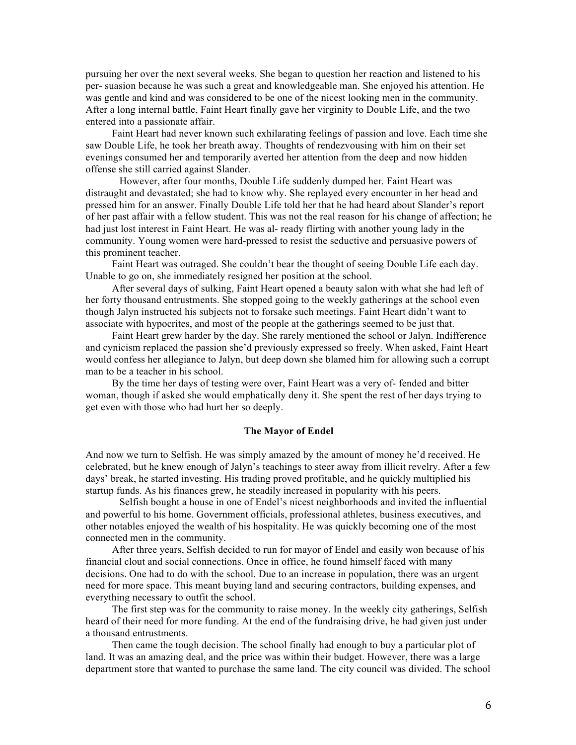pursuing her over the next several weeks. She began to question her reaction and listened to his per- suasion because he was such a great and knowledgeable man. She enjoyed his attention. He was gentle and kind and was considered to be one of the nicest looking men in the community. After a long internal battle, Faint Heart finally gave her virginity to Double Life, and the two entered into a passionate affair.

Faint Heart had never known such exhilarating feelings of passion and love. Each time she saw Double Life, he took her breath away. Thoughts of rendezvousing with him on their set evenings consumed her and temporarily averted her attention from the deep and now hidden offense she still carried against Slander.

However, after four months, Double Life suddenly dumped her. Faint Heart was distraught and devastated; she had to know why. She replayed every encounter in her head and pressed him for an answer. Finally Double Life told her that he had heard about Slander's report of her past affair with a fellow student. This was not the real reason for his change of affection; he had just lost interest in Faint Heart. He was al- ready flirting with another young lady in the community. Young women were hard-pressed to resist the seductive and persuasive powers of this prominent teacher.

Faint Heart was outraged. She couldn't bear the thought of seeing Double Life each day. Unable to go on, she immediately resigned her position at the school.

After several days of sulking, Faint Heart opened a beauty salon with what she had left of her forty thousand entrustments. She stopped going to the weekly gatherings at the school even though Jalyn instructed his subjects not to forsake such meetings. Faint Heart didn't want to associate with hypocrites, and most of the people at the gatherings seemed to be just that.

Faint Heart grew harder by the day. She rarely mentioned the school or Jalyn. Indifference and cynicism replaced the passion she'd previously expressed so freely. When asked, Faint Heart would confess her allegiance to Jalyn, but deep down she blamed him for allowing such a corrupt man to be a teacher in his school.

By the time her days of testing were over, Faint Heart was a very of- fended and bitter woman, though if asked she would emphatically deny it. She spent the rest of her days trying to get even with those who had hurt her so deeply.

#### **The Mayor of Endel**

And now we turn to Selfish. He was simply amazed by the amount of money he'd received. He celebrated, but he knew enough of Jalyn's teachings to steer away from illicit revelry. After a few days' break, he started investing. His trading proved profitable, and he quickly multiplied his startup funds. As his finances grew, he steadily increased in popularity with his peers.

Selfish bought a house in one of Endel's nicest neighborhoods and invited the influential and powerful to his home. Government officials, professional athletes, business executives, and other notables enjoyed the wealth of his hospitality. He was quickly becoming one of the most connected men in the community.

After three years, Selfish decided to run for mayor of Endel and easily won because of his financial clout and social connections. Once in office, he found himself faced with many decisions. One had to do with the school. Due to an increase in population, there was an urgent need for more space. This meant buying land and securing contractors, building expenses, and everything necessary to outfit the school.

The first step was for the community to raise money. In the weekly city gatherings, Selfish heard of their need for more funding. At the end of the fundraising drive, he had given just under a thousand entrustments.

Then came the tough decision. The school finally had enough to buy a particular plot of land. It was an amazing deal, and the price was within their budget. However, there was a large department store that wanted to purchase the same land. The city council was divided. The school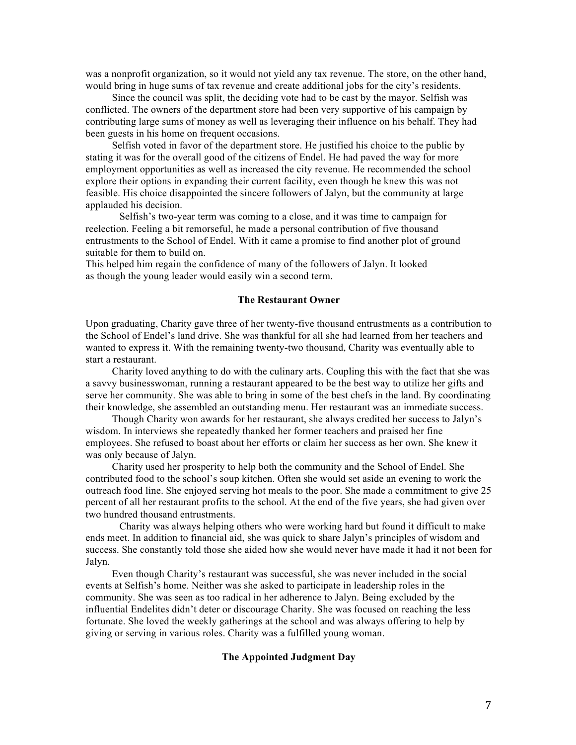was a nonprofit organization, so it would not yield any tax revenue. The store, on the other hand, would bring in huge sums of tax revenue and create additional jobs for the city's residents.

Since the council was split, the deciding vote had to be cast by the mayor. Selfish was conflicted. The owners of the department store had been very supportive of his campaign by contributing large sums of money as well as leveraging their influence on his behalf. They had been guests in his home on frequent occasions.

Selfish voted in favor of the department store. He justified his choice to the public by stating it was for the overall good of the citizens of Endel. He had paved the way for more employment opportunities as well as increased the city revenue. He recommended the school explore their options in expanding their current facility, even though he knew this was not feasible. His choice disappointed the sincere followers of Jalyn, but the community at large applauded his decision.

Selfish's two-year term was coming to a close, and it was time to campaign for reelection. Feeling a bit remorseful, he made a personal contribution of five thousand entrustments to the School of Endel. With it came a promise to find another plot of ground suitable for them to build on.

This helped him regain the confidence of many of the followers of Jalyn. It looked as though the young leader would easily win a second term.

## **The Restaurant Owner**

Upon graduating, Charity gave three of her twenty-five thousand entrustments as a contribution to the School of Endel's land drive. She was thankful for all she had learned from her teachers and wanted to express it. With the remaining twenty-two thousand, Charity was eventually able to start a restaurant.

Charity loved anything to do with the culinary arts. Coupling this with the fact that she was a savvy businesswoman, running a restaurant appeared to be the best way to utilize her gifts and serve her community. She was able to bring in some of the best chefs in the land. By coordinating their knowledge, she assembled an outstanding menu. Her restaurant was an immediate success.

Though Charity won awards for her restaurant, she always credited her success to Jalyn's wisdom. In interviews she repeatedly thanked her former teachers and praised her fine employees. She refused to boast about her efforts or claim her success as her own. She knew it was only because of Jalyn.

Charity used her prosperity to help both the community and the School of Endel. She contributed food to the school's soup kitchen. Often she would set aside an evening to work the outreach food line. She enjoyed serving hot meals to the poor. She made a commitment to give 25 percent of all her restaurant profits to the school. At the end of the five years, she had given over two hundred thousand entrustments.

Charity was always helping others who were working hard but found it difficult to make ends meet. In addition to financial aid, she was quick to share Jalyn's principles of wisdom and success. She constantly told those she aided how she would never have made it had it not been for Jalyn.

Even though Charity's restaurant was successful, she was never included in the social events at Selfish's home. Neither was she asked to participate in leadership roles in the community. She was seen as too radical in her adherence to Jalyn. Being excluded by the influential Endelites didn't deter or discourage Charity. She was focused on reaching the less fortunate. She loved the weekly gatherings at the school and was always offering to help by giving or serving in various roles. Charity was a fulfilled young woman.

## **The Appointed Judgment Day**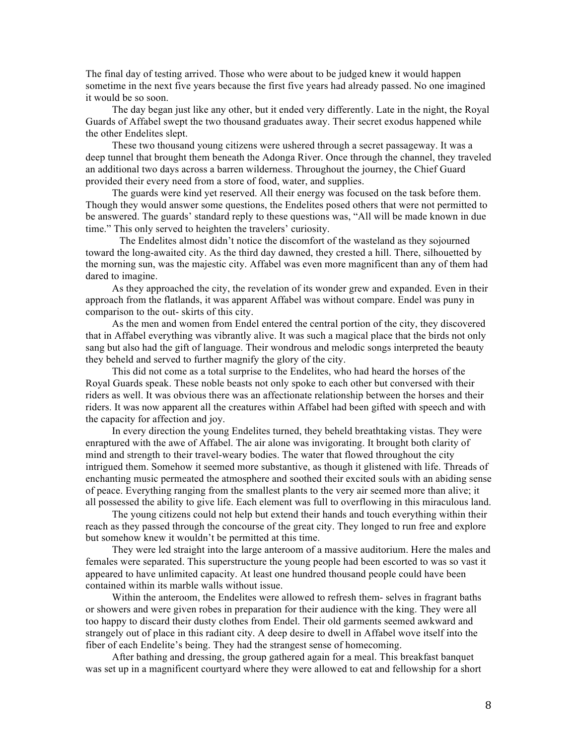The final day of testing arrived. Those who were about to be judged knew it would happen sometime in the next five years because the first five years had already passed. No one imagined it would be so soon.

The day began just like any other, but it ended very differently. Late in the night, the Royal Guards of Affabel swept the two thousand graduates away. Their secret exodus happened while the other Endelites slept.

These two thousand young citizens were ushered through a secret passageway. It was a deep tunnel that brought them beneath the Adonga River. Once through the channel, they traveled an additional two days across a barren wilderness. Throughout the journey, the Chief Guard provided their every need from a store of food, water, and supplies.

The guards were kind yet reserved. All their energy was focused on the task before them. Though they would answer some questions, the Endelites posed others that were not permitted to be answered. The guards' standard reply to these questions was, "All will be made known in due time." This only served to heighten the travelers' curiosity.

The Endelites almost didn't notice the discomfort of the wasteland as they sojourned toward the long-awaited city. As the third day dawned, they crested a hill. There, silhouetted by the morning sun, was the majestic city. Affabel was even more magnificent than any of them had dared to imagine.

As they approached the city, the revelation of its wonder grew and expanded. Even in their approach from the flatlands, it was apparent Affabel was without compare. Endel was puny in comparison to the out- skirts of this city.

As the men and women from Endel entered the central portion of the city, they discovered that in Affabel everything was vibrantly alive. It was such a magical place that the birds not only sang but also had the gift of language. Their wondrous and melodic songs interpreted the beauty they beheld and served to further magnify the glory of the city.

This did not come as a total surprise to the Endelites, who had heard the horses of the Royal Guards speak. These noble beasts not only spoke to each other but conversed with their riders as well. It was obvious there was an affectionate relationship between the horses and their riders. It was now apparent all the creatures within Affabel had been gifted with speech and with the capacity for affection and joy.

In every direction the young Endelites turned, they beheld breathtaking vistas. They were enraptured with the awe of Affabel. The air alone was invigorating. It brought both clarity of mind and strength to their travel-weary bodies. The water that flowed throughout the city intrigued them. Somehow it seemed more substantive, as though it glistened with life. Threads of enchanting music permeated the atmosphere and soothed their excited souls with an abiding sense of peace. Everything ranging from the smallest plants to the very air seemed more than alive; it all possessed the ability to give life. Each element was full to overflowing in this miraculous land.

The young citizens could not help but extend their hands and touch everything within their reach as they passed through the concourse of the great city. They longed to run free and explore but somehow knew it wouldn't be permitted at this time.

They were led straight into the large anteroom of a massive auditorium. Here the males and females were separated. This superstructure the young people had been escorted to was so vast it appeared to have unlimited capacity. At least one hundred thousand people could have been contained within its marble walls without issue.

Within the anteroom, the Endelites were allowed to refresh them- selves in fragrant baths or showers and were given robes in preparation for their audience with the king. They were all too happy to discard their dusty clothes from Endel. Their old garments seemed awkward and strangely out of place in this radiant city. A deep desire to dwell in Affabel wove itself into the fiber of each Endelite's being. They had the strangest sense of homecoming.

After bathing and dressing, the group gathered again for a meal. This breakfast banquet was set up in a magnificent courtyard where they were allowed to eat and fellowship for a short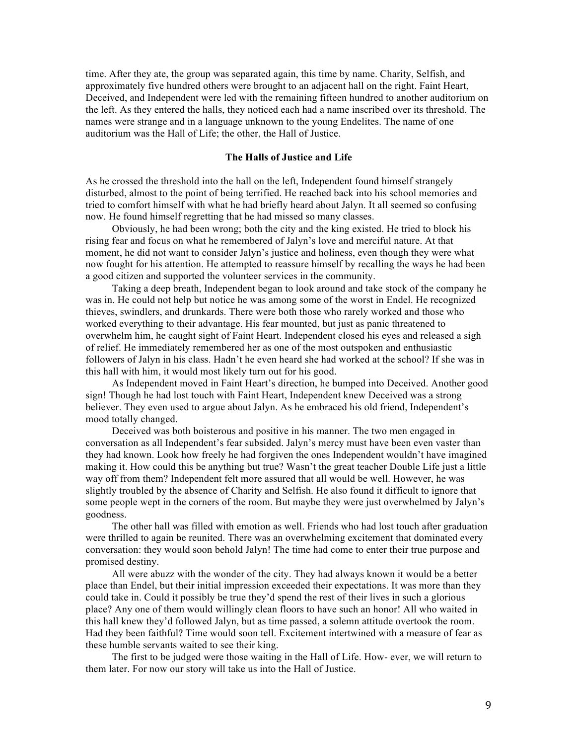time. After they ate, the group was separated again, this time by name. Charity, Selfish, and approximately five hundred others were brought to an adjacent hall on the right. Faint Heart, Deceived, and Independent were led with the remaining fifteen hundred to another auditorium on the left. As they entered the halls, they noticed each had a name inscribed over its threshold. The names were strange and in a language unknown to the young Endelites. The name of one auditorium was the Hall of Life; the other, the Hall of Justice.

# **The Halls of Justice and Life**

As he crossed the threshold into the hall on the left, Independent found himself strangely disturbed, almost to the point of being terrified. He reached back into his school memories and tried to comfort himself with what he had briefly heard about Jalyn. It all seemed so confusing now. He found himself regretting that he had missed so many classes.

Obviously, he had been wrong; both the city and the king existed. He tried to block his rising fear and focus on what he remembered of Jalyn's love and merciful nature. At that moment, he did not want to consider Jalyn's justice and holiness, even though they were what now fought for his attention. He attempted to reassure himself by recalling the ways he had been a good citizen and supported the volunteer services in the community.

Taking a deep breath, Independent began to look around and take stock of the company he was in. He could not help but notice he was among some of the worst in Endel. He recognized thieves, swindlers, and drunkards. There were both those who rarely worked and those who worked everything to their advantage. His fear mounted, but just as panic threatened to overwhelm him, he caught sight of Faint Heart. Independent closed his eyes and released a sigh of relief. He immediately remembered her as one of the most outspoken and enthusiastic followers of Jalyn in his class. Hadn't he even heard she had worked at the school? If she was in this hall with him, it would most likely turn out for his good.

As Independent moved in Faint Heart's direction, he bumped into Deceived. Another good sign! Though he had lost touch with Faint Heart, Independent knew Deceived was a strong believer. They even used to argue about Jalyn. As he embraced his old friend, Independent's mood totally changed.

Deceived was both boisterous and positive in his manner. The two men engaged in conversation as all Independent's fear subsided. Jalyn's mercy must have been even vaster than they had known. Look how freely he had forgiven the ones Independent wouldn't have imagined making it. How could this be anything but true? Wasn't the great teacher Double Life just a little way off from them? Independent felt more assured that all would be well. However, he was slightly troubled by the absence of Charity and Selfish. He also found it difficult to ignore that some people wept in the corners of the room. But maybe they were just overwhelmed by Jalyn's goodness.

The other hall was filled with emotion as well. Friends who had lost touch after graduation were thrilled to again be reunited. There was an overwhelming excitement that dominated every conversation: they would soon behold Jalyn! The time had come to enter their true purpose and promised destiny.

All were abuzz with the wonder of the city. They had always known it would be a better place than Endel, but their initial impression exceeded their expectations. It was more than they could take in. Could it possibly be true they'd spend the rest of their lives in such a glorious place? Any one of them would willingly clean floors to have such an honor! All who waited in this hall knew they'd followed Jalyn, but as time passed, a solemn attitude overtook the room. Had they been faithful? Time would soon tell. Excitement intertwined with a measure of fear as these humble servants waited to see their king.

The first to be judged were those waiting in the Hall of Life. How- ever, we will return to them later. For now our story will take us into the Hall of Justice.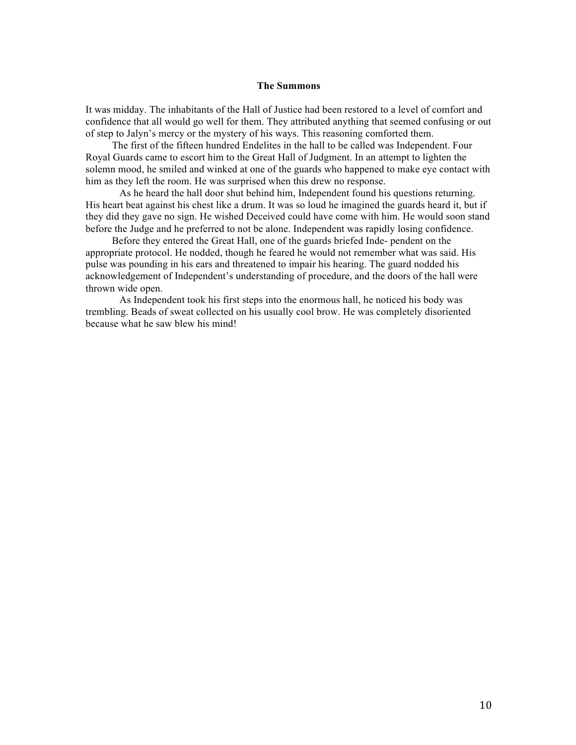#### **The Summons**

It was midday. The inhabitants of the Hall of Justice had been restored to a level of comfort and confidence that all would go well for them. They attributed anything that seemed confusing or out of step to Jalyn's mercy or the mystery of his ways. This reasoning comforted them.

The first of the fifteen hundred Endelites in the hall to be called was Independent. Four Royal Guards came to escort him to the Great Hall of Judgment. In an attempt to lighten the solemn mood, he smiled and winked at one of the guards who happened to make eye contact with him as they left the room. He was surprised when this drew no response.

As he heard the hall door shut behind him, Independent found his questions returning. His heart beat against his chest like a drum. It was so loud he imagined the guards heard it, but if they did they gave no sign. He wished Deceived could have come with him. He would soon stand before the Judge and he preferred to not be alone. Independent was rapidly losing confidence.

Before they entered the Great Hall, one of the guards briefed Inde- pendent on the appropriate protocol. He nodded, though he feared he would not remember what was said. His pulse was pounding in his ears and threatened to impair his hearing. The guard nodded his acknowledgement of Independent's understanding of procedure, and the doors of the hall were thrown wide open.

As Independent took his first steps into the enormous hall, he noticed his body was trembling. Beads of sweat collected on his usually cool brow. He was completely disoriented because what he saw blew his mind!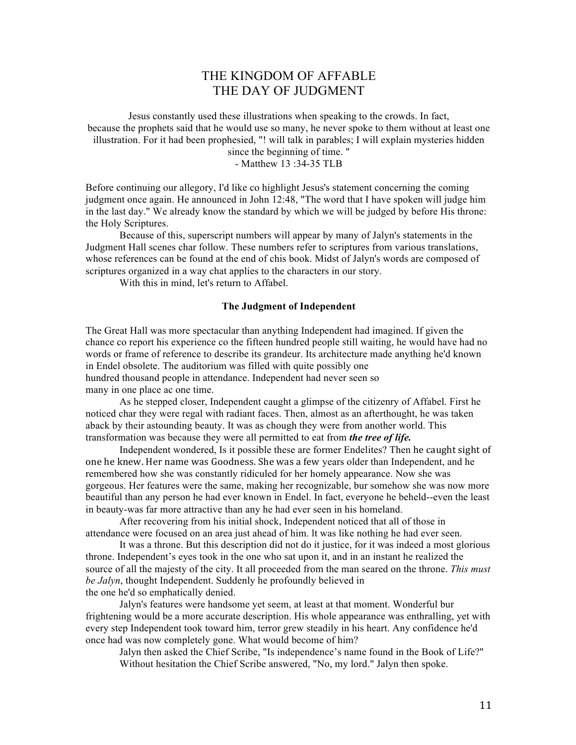# THE KINGDOM OF AFFABLE THE DAY OF JUDGMENT

Jesus constantly used these illustrations when speaking to the crowds. In fact, because the prophets said that he would use so many, he never spoke to them without at least one illustration. For it had been prophesied, "! will talk in parables; I will explain mysteries hidden

since the beginning of time. "

- Matthew 13 :34-35 TLB

Before continuing our allegory, I'd like co highlight Jesus's statement concerning the coming judgment once again. He announced in John 12:48, "The word that I have spoken will judge him in the last day." We already know the standard by which we will be judged by before His throne: the Holy Scriptures.

Because of this, superscript numbers will appear by many of Jalyn's statements in the Judgment Hall scenes char follow. These numbers refer to scriptures from various translations, whose references can be found at the end of chis book. Midst of Jalyn's words are composed of scriptures organized in a way chat applies to the characters in our story.

With this in mind, let's return to Affabel.

### **The Judgment of Independent**

The Great Hall was more spectacular than anything Independent had imagined. If given the chance co report his experience co the fifteen hundred people still waiting, he would have had no words or frame of reference to describe its grandeur. Its architecture made anything he'd known in Endel obsolete. The auditorium was filled with quite possibly one hundred thousand people in attendance. Independent had never seen so many in one place ac one time.

As he stepped closer, Independent caught a glimpse of the citizenry of Affabel. First he noticed char they were regal with radiant faces. Then, almost as an afterthought, he was taken aback by their astounding beauty. It was as chough they were from another world. This transformation was because they were all permitted to eat from *the tree of life.*

Independent wondered, Is it possible these are former Endelites? Then he caught sight of one he knew. Her name was Goodness. She was a few years older than Independent, and he remembered how she was constantly ridiculed for her homely appearance. Now she was gorgeous. Her features were the same, making her recognizable, bur somehow she was now more beautiful than any person he had ever known in Endel. In fact, everyone he beheld--even the least in beauty-was far more attractive than any he had ever seen in his homeland.

After recovering from his initial shock, Independent noticed that all of those in attendance were focused on an area just ahead of him. lt was like nothing he had ever seen.

It was a throne. But this description did not do it justice, for it was indeed a most glorious throne. Independent's eyes took in the one who sat upon it, and in an instant he realized the source of all the majesty of the city. It all proceeded from the man seared on the throne. *This must be Jalyn*, thought Independent. Suddenly he profoundly believed in the one he'd so emphatically denied.

Jalyn's features were handsome yet seem, at least at that moment. Wonderful bur frightening would be a more accurate description. His whole appearance was enthralling, yet with every step Independent took toward him, terror grew steadily in his heart. Any confidence he'd once had was now completely gone. What would become of him?

Jalyn then asked the Chief Scribe, "Is independence's name found in the Book of Life?" Without hesitation the Chief Scribe answered, "No, my lord." Jalyn then spoke.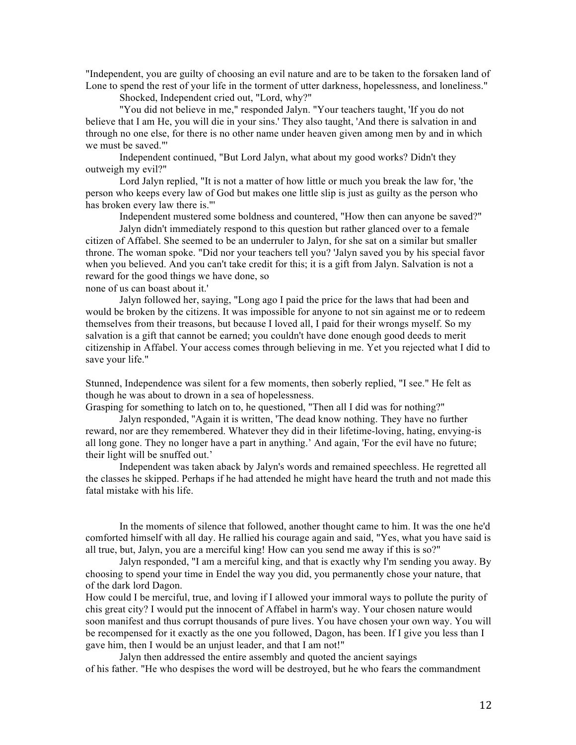"Independent, you are guilty of choosing an evil nature and are to be taken to the forsaken land of Lone to spend the rest of your life in the torment of utter darkness, hopelessness, and loneliness."

Shocked, Independent cried out, "Lord, why?"

"You did not believe in me," responded Jalyn. "Your teachers taught, 'If you do not believe that I am He, you will die in your sins.' They also taught, 'And there is salvation in and through no one else, for there is no other name under heaven given among men by and in which we must be saved."'

Independent continued, "But Lord Jalyn, what about my good works? Didn't they outweigh my evil?"

Lord Jalyn replied, "It is not a matter of how little or much you break the law for, 'the person who keeps every law of God but makes one little slip is just as guilty as the person who has broken every law there is."'

Independent mustered some boldness and countered, "How then can anyone be saved?"

Jalyn didn't immediately respond to this question but rather glanced over to a female citizen of Affabel. She seemed to be an underruler to Jalyn, for she sat on a similar but smaller throne. The woman spoke. "Did nor your teachers tell you? 'Jalyn saved you by his special favor when you believed. And you can't take credit for this; it is a gift from Jalyn. Salvation is not a reward for the good things we have done, so none of us can boast about it.'

Jalyn followed her, saying, "Long ago I paid the price for the laws that had been and would be broken by the citizens. It was impossible for anyone to not sin against me or to redeem themselves from their treasons, but because I loved all, I paid for their wrongs myself. So my salvation is a gift that cannot be earned; you couldn't have done enough good deeds to merit citizenship in Affabel. Your access comes through believing in me. Yet you rejected what I did to save your life."

Stunned, Independence was silent for a few moments, then soberly replied, "I see." He felt as though he was about to drown in a sea of hopelessness.

Grasping for something to latch on to, he questioned, "Then all I did was for nothing?"

Jalyn responded, ''Again it is written, 'The dead know nothing. They have no further reward, nor are they remembered. Whatever they did in their lifetime-loving, hating, envying-is all long gone. They no longer have a part in anything.' And again, 'For the evil have no future; their light will be snuffed out.'

Independent was taken aback by Jalyn's words and remained speechless. He regretted all the classes he skipped. Perhaps if he had attended he might have heard the truth and not made this fatal mistake with his life.

In the moments of silence that followed, another thought came to him. It was the one he'd comforted himself with all day. He rallied his courage again and said, "Yes, what you have said is all true, but, Jalyn, you are a merciful king! How can you send me away if this is so?"

Jalyn responded, "I am a merciful king, and that is exactly why I'm sending you away. By choosing to spend your time in Endel the way you did, you permanently chose your nature, that of the dark lord Dagon.

How could I be merciful, true, and loving if I allowed your immoral ways to pollute the purity of chis great city? I would put the innocent of Affabel in harm's way. Your chosen nature would soon manifest and thus corrupt thousands of pure lives. You have chosen your own way. You will be recompensed for it exactly as the one you followed, Dagon, has been. If I give you less than I gave him, then I would be an unjust leader, and that I am not!"

Jalyn then addressed the entire assembly and quoted the ancient sayings of his father. "He who despises the word will be destroyed, but he who fears the commandment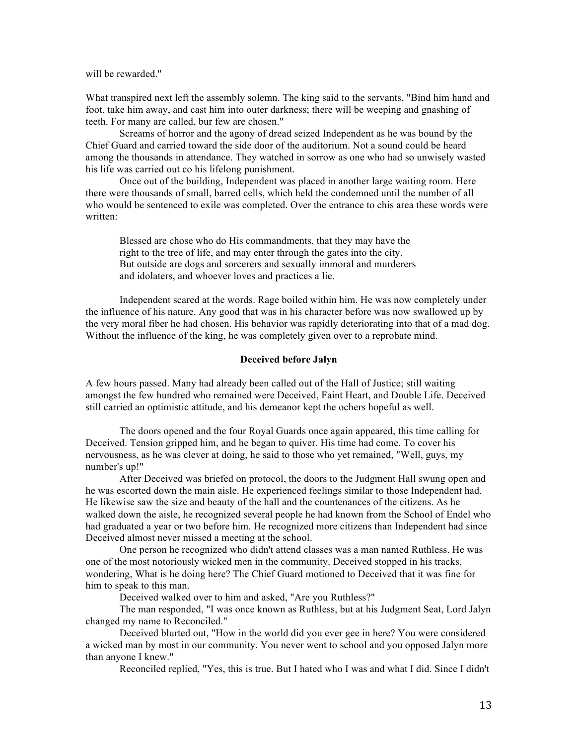will be rewarded.''

What transpired next left the assembly solemn. The king said to the servants, "Bind him hand and foot, take him away, and cast him into outer darkness; there will be weeping and gnashing of teeth. For many are called, bur few are chosen."

Screams of horror and the agony of dread seized Independent as he was bound by the Chief Guard and carried toward the side door of the auditorium. Not a sound could be heard among the thousands in attendance. They watched in sorrow as one who had so unwisely wasted his life was carried out co his lifelong punishment.

Once out of the building, Independent was placed in another large waiting room. Here there were thousands of small, barred cells, which held the condemned until the number of all who would be sentenced to exile was completed. Over the entrance to chis area these words were written:

Blessed are chose who do His commandments, that they may have the right to the tree of life, and may enter through the gates into the city. But outside are dogs and sorcerers and sexually immoral and murderers and idolaters, and whoever loves and practices a lie.

Independent scared at the words. Rage boiled within him. He was now completely under the influence of his nature. Any good that was in his character before was now swallowed up by the very moral fiber he had chosen. His behavior was rapidly deteriorating into that of a mad dog. Without the influence of the king, he was completely given over to a reprobate mind.

#### **Deceived before Jalyn**

A few hours passed. Many had already been called out of the Hall of Justice; still waiting amongst the few hundred who remained were Deceived, Faint Heart, and Double Life. Deceived still carried an optimistic attitude, and his demeanor kept the ochers hopeful as well.

The doors opened and the four Royal Guards once again appeared, this time calling for Deceived. Tension gripped him, and he began to quiver. His time had come. To cover his nervousness, as he was clever at doing, he said to those who yet remained, "Well, guys, my number's up!"

After Deceived was briefed on protocol, the doors to the Judgment Hall swung open and he was escorted down the main aisle. He experienced feelings similar to those Independent had. He likewise saw the size and beauty of the hall and the countenances of the citizens. As he walked down the aisle, he recognized several people he had known from the School of Endel who had graduated a year or two before him. He recognized more citizens than Independent had since Deceived almost never missed a meeting at the school.

One person he recognized who didn't attend classes was a man named Ruthless. He was one of the most notoriously wicked men in the community. Deceived stopped in his tracks, wondering, What is he doing here? The Chief Guard motioned to Deceived that it was fine for him to speak to this man.

Deceived walked over to him and asked, "Are you Ruthless?"

The man responded, "I was once known as Ruthless, but at his Judgment Seat, Lord Jalyn changed my name to Reconciled."

Deceived blurted out, "How in the world did you ever gee in here? You were considered a wicked man by most in our community. You never went to school and you opposed Jalyn more than anyone I knew."

Reconciled replied, "Yes, this is true. But I hated who I was and what I did. Since I didn't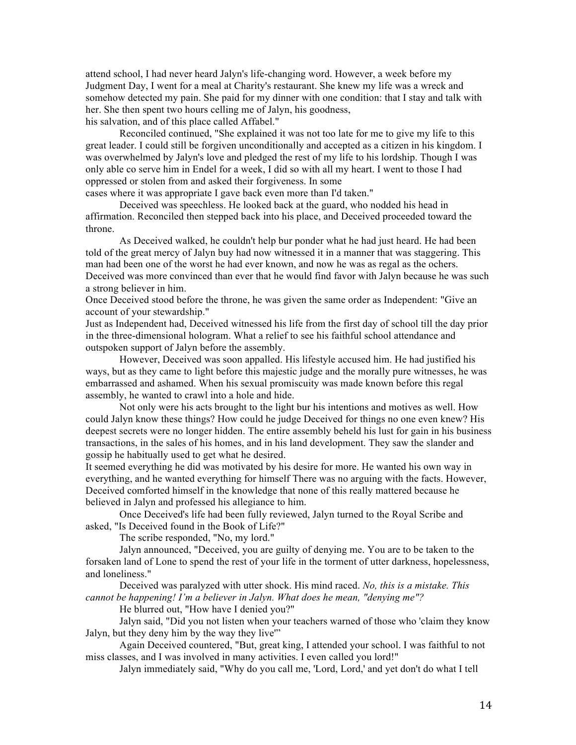attend school, I had never heard Jalyn's life-changing word. However, a week before my Judgment Day, I went for a meal at Charity's restaurant. She knew my life was a wreck and somehow detected my pain. She paid for my dinner with one condition: that I stay and talk with her. She then spent two hours celling me of Jalyn, his goodness,

his salvation, and of this place called Affabel."

Reconciled continued, "She explained it was not too late for me to give my life to this great leader. I could still be forgiven unconditionally and accepted as a citizen in his kingdom. I was overwhelmed by Jalyn's love and pledged the rest of my life to his lordship. Though I was only able co serve him in Endel for a week, I did so with all my heart. I went to those I had oppressed or stolen from and asked their forgiveness. In some cases where it was appropriate I gave back even more than I'd taken."

Deceived was speechless. He looked back at the guard, who nodded his head in affirmation. Reconciled then stepped back into his place, and Deceived proceeded toward the throne.

As Deceived walked, he couldn't help bur ponder what he had just heard. He had been told of the great mercy of Jalyn buy had now witnessed it in a manner that was staggering. This man had been one of the worst he had ever known, and now he was as regal as the ochers. Deceived was more convinced than ever that he would find favor with Jalyn because he was such a strong believer in him.

Once Deceived stood before the throne, he was given the same order as Independent: "Give an account of your stewardship."

Just as Independent had, Deceived witnessed his life from the first day of school till the day prior in the three-dimensional hologram. What a relief to see his faithful school attendance and outspoken support of Jalyn before the assembly.

However, Deceived was soon appalled. His lifestyle accused him. He had justified his ways, but as they came to light before this majestic judge and the morally pure witnesses, he was embarrassed and ashamed. When his sexual promiscuity was made known before this regal assembly, he wanted to crawl into a hole and hide.

Not only were his acts brought to the light bur his intentions and motives as well. How could Jalyn know these things? How could he judge Deceived for things no one even knew? His deepest secrets were no longer hidden. The entire assembly beheld his lust for gain in his business transactions, in the sales of his homes, and in his land development. They saw the slander and gossip he habitually used to get what he desired.

It seemed everything he did was motivated by his desire for more. He wanted his own way in everything, and he wanted everything for himself There was no arguing with the facts. However, Deceived comforted himself in the knowledge that none of this really mattered because he believed in Jalyn and professed his allegiance to him.

Once Deceived's life had been fully reviewed, Jalyn turned to the Royal Scribe and asked, "Is Deceived found in the Book of Life?"

The scribe responded, "No, my lord."

Jalyn announced, "Deceived, you are guilty of denying me. You are to be taken to the forsaken land of Lone to spend the rest of your life in the torment of utter darkness, hopelessness, and loneliness."

Deceived was paralyzed with utter shock. His mind raced. *No, this is a mistake. This cannot be happening! I'm a believer in Jalyn. What does he mean, "denying me"?*

He blurred out, "How have I denied you?"

Jalyn said, "Did you not listen when your teachers warned of those who 'claim they know Jalyn, but they deny him by the way they live'"

Again Deceived countered, "But, great king, I attended your school. I was faithful to not miss classes, and I was involved in many activities. I even called you lord!"

Jalyn immediately said, "Why do you call me, 'Lord, Lord,' and yet don't do what I tell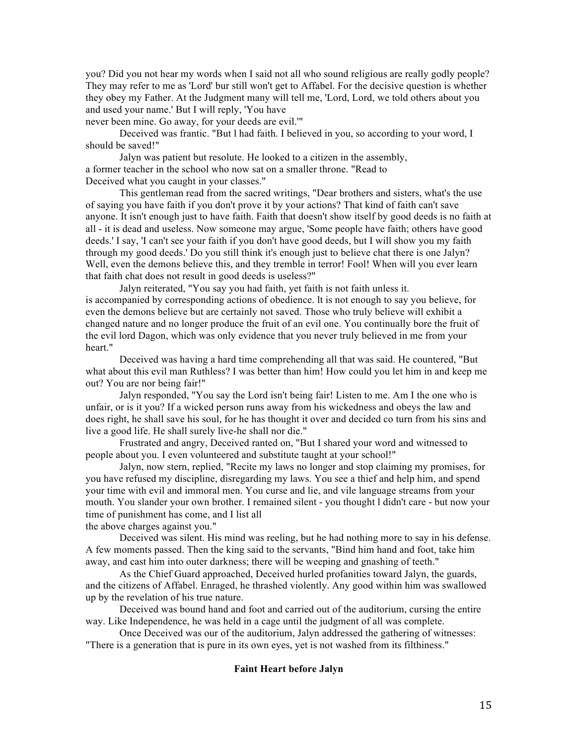you? Did you not hear my words when I said not all who sound religious are really godly people? They may refer to me as 'Lord' bur still won't get to Affabel. For the decisive question is whether they obey my Father. At the Judgment many will tell me, 'Lord, Lord, we told others about you and used your name.' But I will reply, 'You have

never been mine. Go away, for your deeds are evil.'"

Deceived was frantic. "But l had faith. I believed in you, so according to your word, I should be saved!"

Jalyn was patient but resolute. He looked to a citizen in the assembly, a former teacher in the school who now sat on a smaller throne. "Read to Deceived what you caught in your classes."

This gentleman read from the sacred writings, "Dear brothers and sisters, what's the use of saying you have faith if you don't prove it by your actions? That kind of faith can't save anyone. It isn't enough just to have faith. Faith that doesn't show itself by good deeds is no faith at all - it is dead and useless. Now someone may argue, 'Some people have faith; others have good deeds.' I say, 'I can't see your faith if you don't have good deeds, but I will show you my faith through my good deeds.' Do you still think it's enough just to believe chat there is one Jalyn? Well, even the demons believe this, and they tremble in terror! Fool! When will you ever learn that faith chat does not result in good deeds is useless?"

Jalyn reiterated, "You say you had faith, yet faith is not faith unless it. is accompanied by corresponding actions of obedience. lt is not enough to say you believe, for even the demons believe but are certainly not saved. Those who truly believe will exhibit a changed nature and no longer produce the fruit of an evil one. You continually bore the fruit of the evil lord Dagon, which was only evidence that you never truly believed in me from your heart."

Deceived was having a hard time comprehending all that was said. He countered, "But what about this evil man Ruthless? I was better than him! How could you let him in and keep me out? You are nor being fair!"

Jalyn responded, "You say the Lord isn't being fair! Listen to me. Am I the one who is unfair, or is it you? If a wicked person runs away from his wickedness and obeys the law and does right, he shall save his soul, for he has thought it over and decided co turn from his sins and live a good life. He shall surely live-he shall nor die."

Frustrated and angry, Deceived ranted on, "But I shared your word and witnessed to people about you. I even volunteered and substitute taught at your school!"

Jalyn, now stern, replied, "Recite my laws no longer and stop claiming my promises, for you have refused my discipline, disregarding my laws. You see a thief and help him, and spend your time with evil and immoral men. You curse and lie, and vile language streams from your mouth. You slander your own brother. I remained silent - you thought l didn't care - but now your time of punishment has come, and I list all

the above charges against you."

Deceived was silent. His mind was reeling, but he had nothing more to say in his defense. A few moments passed. Then the king said to the servants, "Bind him hand and foot, take him away, and cast him into outer darkness; there will be weeping and gnashing of teeth."

As the Chief Guard approached, Deceived hurled profanities toward Jalyn, the guards, and the citizens of Affabel. Enraged, he thrashed violently. Any good within him was swallowed up by the revelation of his true nature.

Deceived was bound hand and foot and carried out of the auditorium, cursing the entire way. Like Independence, he was held in a cage until the judgment of all was complete.

Once Deceived was our of the auditorium, Jalyn addressed the gathering of witnesses: "There is a generation that is pure in its own eyes, yet is not washed from its filthiness."

#### **Faint Heart before Jalyn**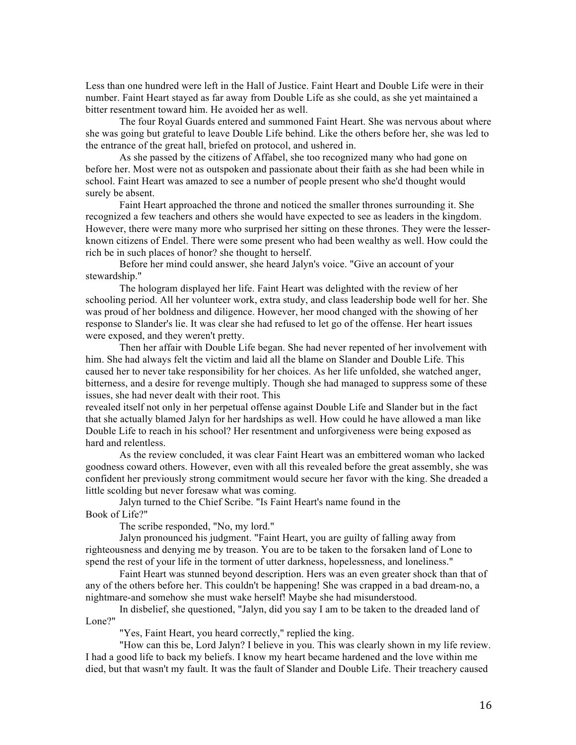Less than one hundred were left in the Hall of Justice. Faint Heart and Double Life were in their number. Faint Heart stayed as far away from Double Life as she could, as she yet maintained a bitter resentment toward him. He avoided her as well.

The four Royal Guards entered and summoned Faint Heart. She was nervous about where she was going but grateful to leave Double Life behind. Like the others before her, she was led to the entrance of the great hall, briefed on protocol, and ushered in.

As she passed by the citizens of Affabel, she too recognized many who had gone on before her. Most were not as outspoken and passionate about their faith as she had been while in school. Faint Heart was amazed to see a number of people present who she'd thought would surely be absent.

Faint Heart approached the throne and noticed the smaller thrones surrounding it. She recognized a few teachers and others she would have expected to see as leaders in the kingdom. However, there were many more who surprised her sitting on these thrones. They were the lesserknown citizens of Endel. There were some present who had been wealthy as well. How could the rich be in such places of honor? she thought to herself.

Before her mind could answer, she heard Jalyn's voice. "Give an account of your stewardship."

The hologram displayed her life. Faint Heart was delighted with the review of her schooling period. All her volunteer work, extra study, and class leadership bode well for her. She was proud of her boldness and diligence. However, her mood changed with the showing of her response to Slander's lie. It was clear she had refused to let go of the offense. Her heart issues were exposed, and they weren't pretty.

Then her affair with Double Life began. She had never repented of her involvement with him. She had always felt the victim and laid all the blame on Slander and Double Life. This caused her to never take responsibility for her choices. As her life unfolded, she watched anger, bitterness, and a desire for revenge multiply. Though she had managed to suppress some of these issues, she had never dealt with their root. This

revealed itself not only in her perpetual offense against Double Life and Slander but in the fact that she actually blamed Jalyn for her hardships as well. How could he have allowed a man like Double Life to reach in his school? Her resentment and unforgiveness were being exposed as hard and relentless.

As the review concluded, it was clear Faint Heart was an embittered woman who lacked goodness coward others. However, even with all this revealed before the great assembly, she was confident her previously strong commitment would secure her favor with the king. She dreaded a little scolding but never foresaw what was coming.

Jalyn turned to the Chief Scribe. "Is Faint Heart's name found in the Book of Life?"

The scribe responded, "No, my lord."

Jalyn pronounced his judgment. "Faint Heart, you are guilty of falling away from righteousness and denying me by treason. You are to be taken to the forsaken land of Lone to spend the rest of your life in the torment of utter darkness, hopelessness, and loneliness."

Faint Heart was stunned beyond description. Hers was an even greater shock than that of any of the others before her. This couldn't be happening! She was crapped in a bad dream-no, a nightmare-and somehow she must wake herself! Maybe she had misunderstood.

In disbelief, she questioned, "Jalyn, did you say I am to be taken to the dreaded land of Lone?"

"Yes, Faint Heart, you heard correctly," replied the king.

"How can this be, Lord Jalyn? I believe in you. This was clearly shown in my life review. I had a good life to back my beliefs. I know my heart became hardened and the love within me died, but that wasn't my fault. It was the fault of Slander and Double Life. Their treachery caused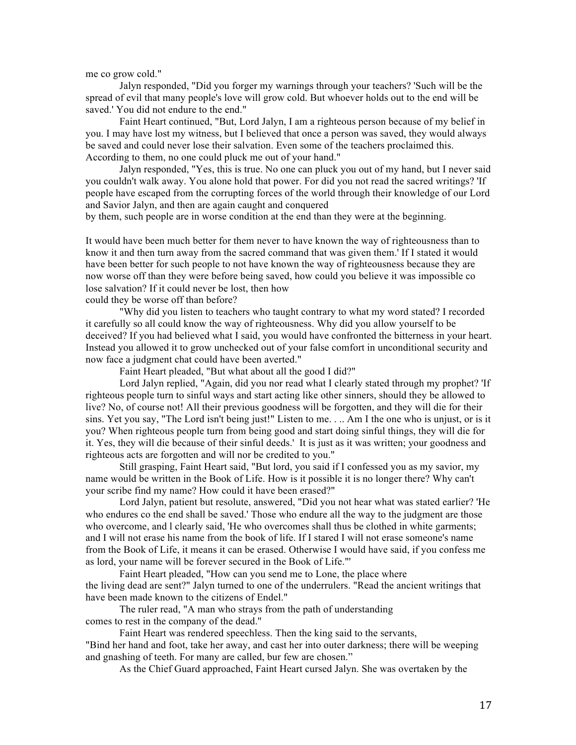me co grow cold."

Jalyn responded, "Did you forger my warnings through your teachers? 'Such will be the spread of evil that many people's love will grow cold. But whoever holds out to the end will be saved.' You did not endure to the end."

Faint Heart continued, "But, Lord Jalyn, I am a righteous person because of my belief in you. I may have lost my witness, but I believed that once a person was saved, they would always be saved and could never lose their salvation. Even some of the teachers proclaimed this. According to them, no one could pluck me out of your hand."

Jalyn responded, "Yes, this is true. No one can pluck you out of my hand, but I never said you couldn't walk away. You alone hold that power. For did you not read the sacred writings? 'If people have escaped from the corrupting forces of the world through their knowledge of our Lord and Savior Jalyn, and then are again caught and conquered

by them, such people are in worse condition at the end than they were at the beginning.

It would have been much better for them never to have known the way of righteousness than to know it and then turn away from the sacred command that was given them.' If I stated it would have been better for such people to not have known the way of righteousness because they are now worse off than they were before being saved, how could you believe it was impossible co lose salvation? If it could never be lost, then how

could they be worse off than before?

"Why did you listen to teachers who taught contrary to what my word stated? I recorded it carefully so all could know the way of righteousness. Why did you allow yourself to be deceived? If you had believed what I said, you would have confronted the bitterness in your heart. Instead you allowed it to grow unchecked out of your false comfort in unconditional security and now face a judgment chat could have been averted."

Faint Heart pleaded, "But what about all the good I did?"

Lord Jalyn replied, "Again, did you nor read what I clearly stated through my prophet? 'If righteous people turn to sinful ways and start acting like other sinners, should they be allowed to live? No, of course not! All their previous goodness will be forgotten, and they will die for their sins. Yet you say, "The Lord isn't being just!" Listen to me. . .. Am I the one who is unjust, or is it you? When righteous people turn from being good and start doing sinful things, they will die for it. Yes, they will die because of their sinful deeds.' It is just as it was written; your goodness and righteous acts are forgotten and will nor be credited to you."

Still grasping, Faint Heart said, "But lord, you said if I confessed you as my savior, my name would be written in the Book of Life. How is it possible it is no longer there? Why can't your scribe find my name? How could it have been erased?"

Lord Jalyn, patient but resolute, answered, "Did you not hear what was stated earlier? 'He who endures co the end shall be saved.' Those who endure all the way to the judgment are those who overcome, and l clearly said, 'He who overcomes shall thus be clothed in white garments; and I will not erase his name from the book of life. If I stared I will not erase someone's name from the Book of Life, it means it can be erased. Otherwise I would have said, if you confess me as lord, your name will be forever secured in the Book of Life."'

Faint Heart pleaded, "How can you send me to Lone, the place where the living dead are sent?" Jalyn turned to one of the underrulers. "Read the ancient writings that have been made known to the citizens of Endel."

The ruler read, "A man who strays from the path of understanding comes to rest in the company of the dead.''

Faint Heart was rendered speechless. Then the king said to the servants, "Bind her hand and foot, take her away, and cast her into outer darkness; there will be weeping and gnashing of teeth. For many are called, bur few are chosen."

As the Chief Guard approached, Faint Heart cursed Jalyn. She was overtaken by the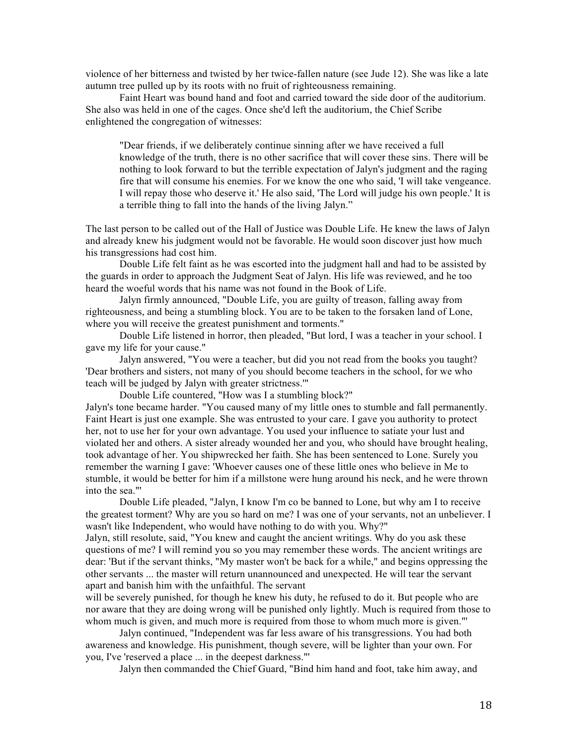violence of her bitterness and twisted by her twice-fallen nature (see Jude 12). She was like a late autumn tree pulled up by its roots with no fruit of righteousness remaining.

Faint Heart was bound hand and foot and carried toward the side door of the auditorium. She also was held in one of the cages. Once she'd left the auditorium, the Chief Scribe enlightened the congregation of witnesses:

"Dear friends, if we deliberately continue sinning after we have received a full knowledge of the truth, there is no other sacrifice that will cover these sins. There will be nothing to look forward to but the terrible expectation of Jalyn's judgment and the raging fire that will consume his enemies. For we know the one who said, 'I will take vengeance. I will repay those who deserve it.' He also said, 'The Lord will judge his own people.' It is a terrible thing to fall into the hands of the living Jalyn."

The last person to be called out of the Hall of Justice was Double Life. He knew the laws of Jalyn and already knew his judgment would not be favorable. He would soon discover just how much his transgressions had cost him.

Double Life felt faint as he was escorted into the judgment hall and had to be assisted by the guards in order to approach the Judgment Seat of Jalyn. His life was reviewed, and he too heard the woeful words that his name was not found in the Book of Life.

Jalyn firmly announced, "Double Life, you are guilty of treason, falling away from righteousness, and being a stumbling block. You are to be taken to the forsaken land of Lone, where you will receive the greatest punishment and torments."

Double Life listened in horror, then pleaded, "But lord, I was a teacher in your school. I gave my life for your cause."

Jalyn answered, "You were a teacher, but did you not read from the books you taught? 'Dear brothers and sisters, not many of you should become teachers in the school, for we who teach will be judged by Jalyn with greater strictness.'"

Double Life countered, "How was I a stumbling block?" Jalyn's tone became harder. "You caused many of my little ones to stumble and fall permanently. Faint Heart is just one example. She was entrusted to your care. I gave you authority to protect her, not to use her for your own advantage. You used your influence to satiate your lust and violated her and others. A sister already wounded her and you, who should have brought healing, took advantage of her. You shipwrecked her faith. She has been sentenced to Lone. Surely you remember the warning I gave: 'Whoever causes one of these little ones who believe in Me to stumble, it would be better for him if a millstone were hung around his neck, and he were thrown into the sea."'

Double Life pleaded, "Jalyn, I know I'm co be banned to Lone, but why am I to receive the greatest torment? Why are you so hard on me? I was one of your servants, not an unbeliever. I wasn't like Independent, who would have nothing to do with you. Why?"

Jalyn, still resolute, said, "You knew and caught the ancient writings. Why do you ask these questions of me? I will remind you so you may remember these words. The ancient writings are dear: 'But if the servant thinks, "My master won't be back for a while," and begins oppressing the other servants ... the master will return unannounced and unexpected. He will tear the servant apart and banish him with the unfaithful. The servant

will be severely punished, for though he knew his duty, he refused to do it. But people who are nor aware that they are doing wrong will be punished only lightly. Much is required from those to whom much is given, and much more is required from those to whom much more is given."

Jalyn continued, "Independent was far less aware of his transgressions. You had both awareness and knowledge. His punishment, though severe, will be lighter than your own. For you, I've 'reserved a place ... in the deepest darkness."'

Jalyn then commanded the Chief Guard, "Bind him hand and foot, take him away, and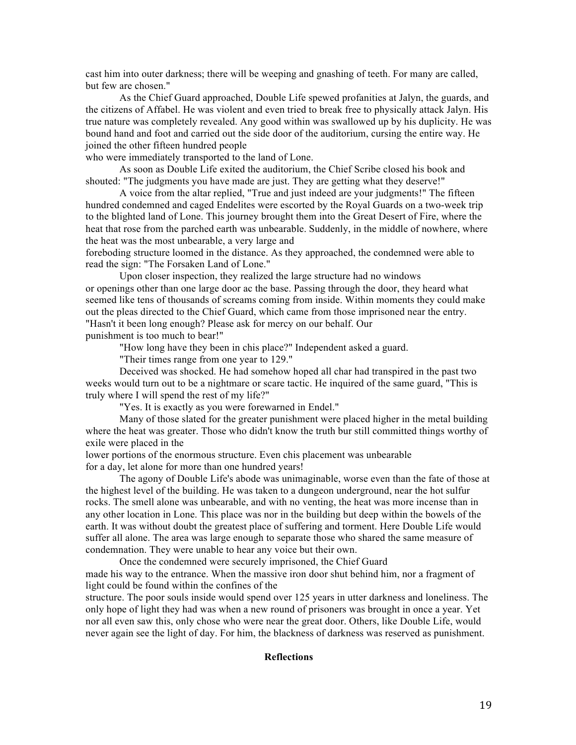cast him into outer darkness; there will be weeping and gnashing of teeth. For many are called, but few are chosen."

As the Chief Guard approached, Double Life spewed profanities at Jalyn, the guards, and the citizens of Affabel. He was violent and even tried to break free to physically attack Jalyn. His true nature was completely revealed. Any good within was swallowed up by his duplicity. He was bound hand and foot and carried out the side door of the auditorium, cursing the entire way. He joined the other fifteen hundred people

who were immediately transported to the land of Lone.

As soon as Double Life exited the auditorium, the Chief Scribe closed his book and shouted: "The judgments you have made are just. They are getting what they deserve!"

A voice from the altar replied, "True and just indeed are your judgments!" The fifteen hundred condemned and caged Endelites were escorted by the Royal Guards on a two-week trip to the blighted land of Lone. This journey brought them into the Great Desert of Fire, where the heat that rose from the parched earth was unbearable. Suddenly, in the middle of nowhere, where the heat was the most unbearable, a very large and

foreboding structure loomed in the distance. As they approached, the condemned were able to read the sign: "The Forsaken Land of Lone."

Upon closer inspection, they realized the large structure had no windows or openings other than one large door ac the base. Passing through the door, they heard what seemed like tens of thousands of screams coming from inside. Within moments they could make out the pleas directed to the Chief Guard, which came from those imprisoned near the entry. "Hasn't it been long enough? Please ask for mercy on our behalf. Our punishment is too much to bear!"

"How long have they been in chis place?" Independent asked a guard.

"Their times range from one year to 129."

Deceived was shocked. He had somehow hoped all char had transpired in the past two weeks would turn out to be a nightmare or scare tactic. He inquired of the same guard, "This is truly where I will spend the rest of my life?"

"Yes. It is exactly as you were forewarned in Endel."

Many of those slated for the greater punishment were placed higher in the metal building where the heat was greater. Those who didn't know the truth bur still committed things worthy of exile were placed in the

lower portions of the enormous structure. Even chis placement was unbearable for a day, let alone for more than one hundred years!

The agony of Double Life's abode was unimaginable, worse even than the fate of those at the highest level of the building. He was taken to a dungeon underground, near the hot sulfur rocks. The smell alone was unbearable, and with no venting, the heat was more incense than in any other location in Lone. This place was nor in the building but deep within the bowels of the earth. It was without doubt the greatest place of suffering and torment. Here Double Life would suffer all alone. The area was large enough to separate those who shared the same measure of condemnation. They were unable to hear any voice but their own.

Once the condemned were securely imprisoned, the Chief Guard made his way to the entrance. When the massive iron door shut behind him, nor a fragment of light could be found within the confines of the

structure. The poor souls inside would spend over 125 years in utter darkness and loneliness. The only hope of light they had was when a new round of prisoners was brought in once a year. Yet nor all even saw this, only chose who were near the great door. Others, like Double Life, would never again see the light of day. For him, the blackness of darkness was reserved as punishment.

## **Reflections**